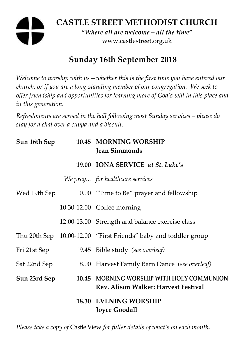# **CASTLE STREET METHODIST CHURCH**

*"Where all are welcome – all the time"*  www.castlestreet.org.uk

## **Sunday 16th September 2018**

*Welcome to worship with us – whether this is the first time you have entered our church, or if you are a long-standing member of our congregation. We seek to offer friendship and opportunities for learning more of God's will in this place and in this generation.* 

*Refreshments are served in the hall following most Sunday services – please do stay for a chat over a cuppa and a biscuit.* 

| Sun 16th Sep | 10.45 MORNING WORSHIP<br><b>Jean Simmonds</b>                                            |
|--------------|------------------------------------------------------------------------------------------|
|              | 19.00 IONA SERVICE at St. Luke's                                                         |
|              | We pray for healthcare services                                                          |
| Wed 19th Sep | 10.00 "Time to Be" prayer and fellowship                                                 |
|              | 10.30-12.00 Coffee morning                                                               |
|              | 12.00-13.00 Strength and balance exercise class                                          |
|              | Thu 20th Sep 10.00-12.00 "First Friends" baby and toddler group                          |
| Fri 21st Sep | 19.45 Bible study (see overleaf)                                                         |
| Sat 22nd Sep | 18.00 Harvest Family Barn Dance (see overleaf)                                           |
| Sun 23rd Sep | 10.45 MORNING WORSHIP WITH HOLY COMMUNION<br><b>Rev. Alison Walker: Harvest Festival</b> |
|              | <b>18.30 EVENING WORSHIP</b><br><b>Joyce Goodall</b>                                     |

*Please take a copy of* Castle View *for fuller details of what's on each month.*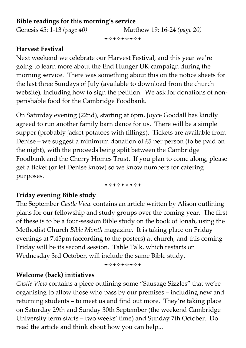#### **Bible readings for this morning's service**

Genesis 45: 1-13 *(page 40)* Matthew 19: 16-24 *(page 20)*

+⊹+⊹+⊹+⊹+

#### **Harvest Festival**

Next weekend we celebrate our Harvest Festival, and this year we're going to learn more about the End Hunger UK campaign during the morning service. There was something about this on the notice sheets for the last three Sundays of July (available to download from the church website), including how to sign the petition. We ask for donations of nonperishable food for the Cambridge Foodbank.

On Saturday evening (22nd), starting at 6pm, Joyce Goodall has kindly agreed to run another family barn dance for us. There will be a simple supper (probably jacket potatoes with fillings). Tickets are available from Denise – we suggest a minimum donation of £5 per person (to be paid on the night), with the proceeds being split between the Cambridge Foodbank and the Cherry Homes Trust. If you plan to come along, please get a ticket (or let Denise know) so we know numbers for catering purposes.

#### +\*\*\*\*\*\*\*

## **Friday evening Bible study**

The September *Castle View* contains an article written by Alison outlining plans for our fellowship and study groups over the coming year. The first of these is to be a four-session Bible study on the book of Jonah, using the Methodist Church *Bible Month* magazine. It is taking place on Friday evenings at 7.45pm (according to the posters) at church, and this coming Friday will be its second session. Table Talk, which restarts on Wednesday 3rd October, will include the same Bible study.

#### +\*+\*\*\*\*\*

## **Welcome (back) initiatives**

*Castle View* contains a piece outlining some "Sausage Sizzles" that we're organising to allow those who pass by our premises – including new and returning students – to meet us and find out more. They're taking place on Saturday 29th and Sunday 30th September (the weekend Cambridge University term starts – two weeks' time) and Sunday 7th October. Do read the article and think about how you can help...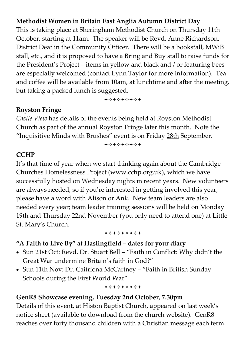#### **Methodist Women in Britain East Anglia Autumn District Day**

This is taking place at Sheringham Methodist Church on Thursday 11th October, starting at 11am. The speaker will be Revd. Anne Richardson, District Deaf in the Community Officer. There will be a bookstall, MWiB stall, etc., and it is proposed to have a Bring and Buy stall to raise funds for the President's Project – items in yellow and black and / or featuring bees are especially welcomed (contact Lynn Taylor for more information). Tea and coffee will be available from 10am, at lunchtime and after the meeting, but taking a packed lunch is suggested.

+\*\*\*\*\*\*\*

#### **Royston Fringe**

*Castle View* has details of the events being held at Royston Methodist Church as part of the annual Royston Fringe later this month. Note the "Inquisitive Minds with Brushes" event is on Friday 28th September.

+\*\*\*\*\*\*\*

#### **CCHP**

It's that time of year when we start thinking again about the Cambridge Churches Homelessness Project (www.cchp.org.uk), which we have successfully hosted on Wednesday nights in recent years. New volunteers are always needed, so if you're interested in getting involved this year, please have a word with Alison or Ank. New team leaders are also needed every year; team leader training sessions will be held on Monday 19th and Thursday 22nd November (you only need to attend one) at Little St. Mary's Church.

+\*\*\*\*\*\*\*

#### **"A Faith to Live By" at Haslingfield – dates for your diary**

- Sun 21st Oct: Revd. Dr. Stuart Bell "Faith in Conflict: Why didn't the Great War undermine Britain's faith in God?"
- Sun 11th Nov: Dr. Caitriona McCartney "Faith in British Sunday Schools during the First World War"

+\*\*\*\*\*\*\*

#### **GenR8 Showcase evening, Tuesday 2nd October, 7.30pm**

Details of this event, at Histon Baptist Church, appeared on last week's notice sheet (available to download from the church website). GenR8 reaches over forty thousand children with a Christian message each term.